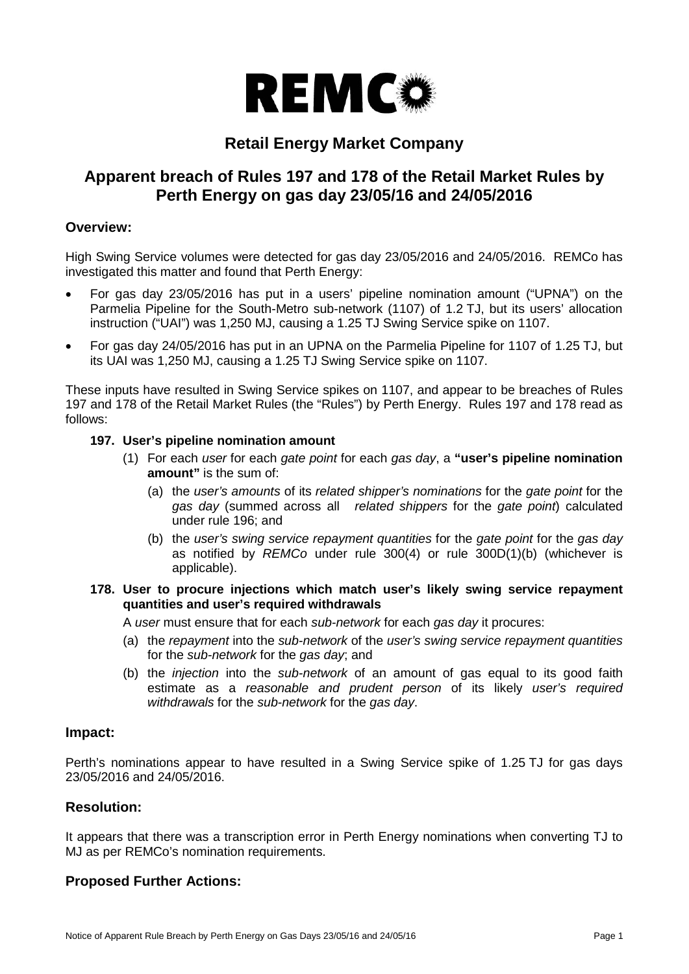

## **Retail Energy Market Company**

# **Apparent breach of Rules 197 and 178 of the Retail Market Rules by Perth Energy on gas day 23/05/16 and 24/05/2016**

### **Overview:**

High Swing Service volumes were detected for gas day 23/05/2016 and 24/05/2016. REMCo has investigated this matter and found that Perth Energy:

- For gas day 23/05/2016 has put in a users' pipeline nomination amount ("UPNA") on the Parmelia Pipeline for the South-Metro sub-network (1107) of 1.2 TJ, but its users' allocation instruction ("UAI") was 1,250 MJ, causing a 1.25 TJ Swing Service spike on 1107.
- For gas day 24/05/2016 has put in an UPNA on the Parmelia Pipeline for 1107 of 1.25 TJ, but its UAI was 1,250 MJ, causing a 1.25 TJ Swing Service spike on 1107.

These inputs have resulted in Swing Service spikes on 1107, and appear to be breaches of Rules 197 and 178 of the Retail Market Rules (the "Rules") by Perth Energy. Rules 197 and 178 read as follows:

#### **197. User's pipeline nomination amount**

- (1) For each *user* for each *gate point* for each *gas day*, a **"user's pipeline nomination amount"** is the sum of:
	- (a) the *user's amounts* of its *related shipper's nominations* for the *gate point* for the *gas day* (summed across all *related shippers* for the *gate point*) calculated under rule 196; and
	- (b) the *user's swing service repayment quantities* for the *gate point* for the *gas day*  as notified by *REMCo* under rule 300(4) or rule 300D(1)(b) (whichever is applicable).
- **178. User to procure injections which match user's likely swing service repayment quantities and user's required withdrawals**

A *user* must ensure that for each *sub-network* for each *gas day* it procures:

- (a) the *repayment* into the *sub-network* of the *user's swing service repayment quantities*  for the *sub-network* for the *gas day*; and
- (b) the *injection* into the *sub-network* of an amount of gas equal to its good faith estimate as a *reasonable and prudent person* of its likely *user's required withdrawals* for the *sub-network* for the *gas day*.

#### **Impact:**

Perth's nominations appear to have resulted in a Swing Service spike of 1.25 TJ for gas days 23/05/2016 and 24/05/2016.

#### **Resolution:**

It appears that there was a transcription error in Perth Energy nominations when converting TJ to MJ as per REMCo's nomination requirements.

#### **Proposed Further Actions:**